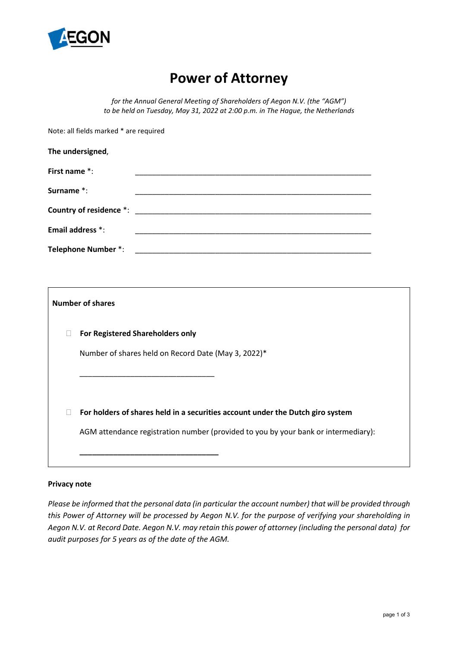

## **Power of Attorney**

*for the Annual General Meeting of Shareholders of Aegon N.V. (the "AGM") to be held on Tuesday, May 31, 2022 at 2:00 p.m. in The Hague, the Netherlands*

Note: all fields marked \* are required

| The undersigned,           |  |
|----------------------------|--|
| First name *:              |  |
| Surname *:                 |  |
|                            |  |
| Email address *:           |  |
| <b>Telephone Number *:</b> |  |

| <b>Number of shares</b>                                                            |
|------------------------------------------------------------------------------------|
| <b>For Registered Shareholders only</b>                                            |
| Number of shares held on Record Date (May 3, 2022)*                                |
|                                                                                    |
|                                                                                    |
| For holders of shares held in a securities account under the Dutch giro system     |
| AGM attendance registration number (provided to you by your bank or intermediary): |

**\_\_\_\_\_\_\_\_\_\_\_\_\_\_\_\_\_\_\_\_\_\_\_\_\_\_\_\_\_\_\_\_\_**

## **Privacy note**

Г

*Please be informed that the personal data (in particular the account number) that will be provided through this Power of Attorney will be processed by Aegon N.V. for the purpose of verifying your shareholding in*  Aegon N.V. at Record Date. Aegon N.V. may retain this power of attorney (including the personal data) for *audit purposes for 5 years as of the date of the AGM.*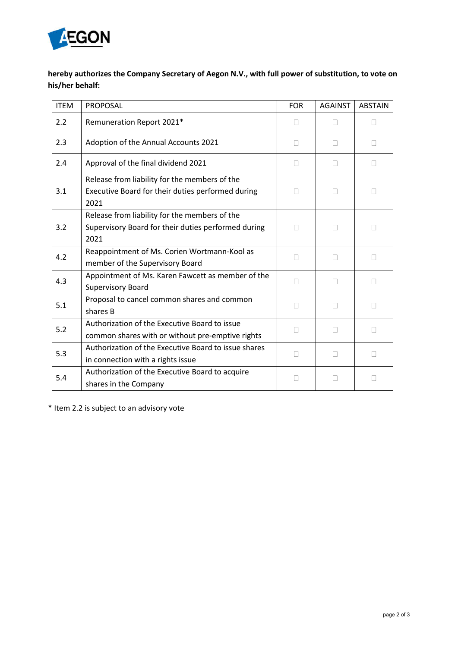

## **hereby authorizes the Company Secretary of Aegon N.V., with full power of substitution, to vote on his/her behalf:**

| <b>ITEM</b> | <b>PROPOSAL</b>                                       | <b>FOR</b>   | <b>AGAINST</b> | <b>ABSTAIN</b> |
|-------------|-------------------------------------------------------|--------------|----------------|----------------|
| 2.2         | Remuneration Report 2021*                             | $\mathbf{L}$ | П              | $\Box$         |
| 2.3         | Adoption of the Annual Accounts 2021                  | П            | П              | Ш              |
| 2.4         | Approval of the final dividend 2021                   | П            | П              | П              |
|             | Release from liability for the members of the         |              |                |                |
| 3.1         | Executive Board for their duties performed during     | ш            | П              |                |
|             | 2021                                                  |              |                |                |
|             | Release from liability for the members of the         |              |                |                |
| 3.2         | Supervisory Board for their duties performed during   | П            | П              |                |
|             | 2021                                                  |              |                |                |
| 4.2         | Reappointment of Ms. Corien Wortmann-Kool as          |              |                |                |
|             | member of the Supervisory Board                       | П            | П              |                |
| 4.3         | Appointment of Ms. Karen Fawcett as member of the     |              |                |                |
|             | Supervisory Board                                     | П            | П              |                |
| 5.1         | Proposal to cancel common shares and common           | П            |                | П              |
|             | shares B                                              |              | П              |                |
| 5.2         | Authorization of the Executive Board to issue         |              |                |                |
|             | П<br>common shares with or without pre-emptive rights | П            | П              |                |
|             | Authorization of the Executive Board to issue shares  |              |                |                |
| 5.3         | in connection with a rights issue                     | П            | П              |                |
| 5.4         | Authorization of the Executive Board to acquire       |              |                |                |
|             | shares in the Company                                 | $\Box$<br>ш  |                |                |

\* Item 2.2 is subject to an advisory vote